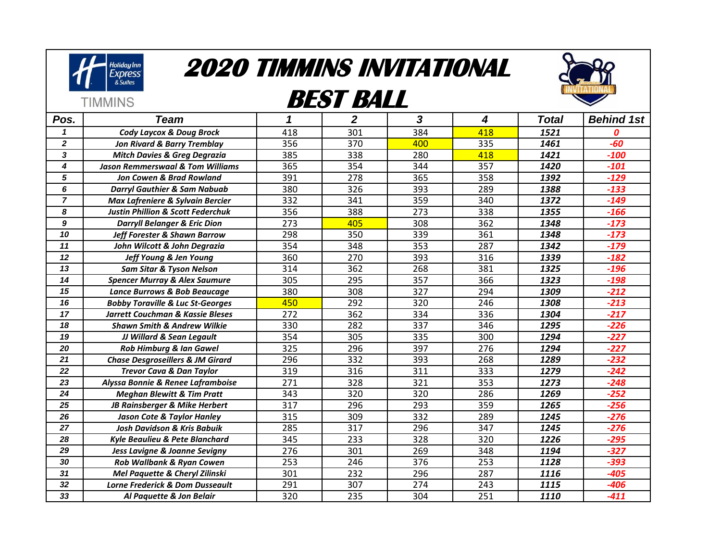

**TIMMINS** 

## **2020 TIMMINS INVITATIONAL**

## **BEST BALL**



| Pos.             | <b>Team</b>                                  | 1   | $\overline{2}$ | 3   | 4   | <b>Total</b> | <b>Behind 1st</b> |
|------------------|----------------------------------------------|-----|----------------|-----|-----|--------------|-------------------|
| 1                | <b>Cody Laycox &amp; Doug Brock</b>          | 418 | 301            | 384 | 418 | 1521         | 0                 |
| $\boldsymbol{2}$ | <b>Jon Rivard &amp; Barry Tremblay</b>       | 356 | 370            | 400 | 335 | 1461         | $-60$             |
| 3                | <b>Mitch Davies &amp; Greg Degrazia</b>      | 385 | 338            | 280 | 418 | 1421         | $-100$            |
| 4                | <b>Jason Remmerswaal &amp; Tom Williams</b>  | 365 | 354            | 344 | 357 | 1420         | $-101$            |
| 5                | <b>Jon Cowen &amp; Brad Rowland</b>          | 391 | 278            | 365 | 358 | 1392         | $-129$            |
| 6                | <b>Darryl Gauthier &amp; Sam Nabuab</b>      | 380 | 326            | 393 | 289 | 1388         | $-133$            |
| $\overline{7}$   | Max Lafreniere & Sylvain Bercier             | 332 | 341            | 359 | 340 | 1372         | $-149$            |
| 8                | <b>Justin Phillion &amp; Scott Federchuk</b> | 356 | 388            | 273 | 338 | 1355         | $-166$            |
| 9                | <b>Darryll Belanger &amp; Eric Dion</b>      | 273 | 405            | 308 | 362 | 1348         | $-173$            |
| 10               | <b>Jeff Forester &amp; Shawn Barrow</b>      | 298 | 350            | 339 | 361 | 1348         | $-173$            |
| 11               | John Wilcott & John Degrazia                 | 354 | 348            | 353 | 287 | 1342         | $-179$            |
| 12               | Jeff Young & Jen Young                       | 360 | 270            | 393 | 316 | 1339         | $-182$            |
| 13               | <b>Sam Sitar &amp; Tyson Nelson</b>          | 314 | 362            | 268 | 381 | 1325         | $-196$            |
| 14               | <b>Spencer Murray &amp; Alex Saumure</b>     | 305 | 295            | 357 | 366 | 1323         | $-198$            |
| 15               | Lance Burrows & Bob Beaucage                 | 380 | 308            | 327 | 294 | 1309         | $-212$            |
| 16               | <b>Bobby Toraville &amp; Luc St-Georges</b>  | 450 | 292            | 320 | 246 | 1308         | $-213$            |
| 17               | Jarrett Couchman & Kassie Bleses             | 272 | 362            | 334 | 336 | 1304         | $-217$            |
| 18               | <b>Shawn Smith &amp; Andrew Wilkie</b>       | 330 | 282            | 337 | 346 | 1295         | $-226$            |
| 19               | JJ Willard & Sean Legault                    | 354 | 305            | 335 | 300 | 1294         | $-227$            |
| 20               | <b>Rob Himburg &amp; Ian Gawel</b>           | 325 | 296            | 397 | 276 | 1294         | $-227$            |
| 21               | <b>Chase Desgroseillers &amp; JM Girard</b>  | 296 | 332            | 393 | 268 | 1289         | $-232$            |
| 22               | <b>Trevor Cava &amp; Dan Taylor</b>          | 319 | 316            | 311 | 333 | 1279         | $-242$            |
| 23               | Alyssa Bonnie & Renee Laframboise            | 271 | 328            | 321 | 353 | 1273         | $-248$            |
| 24               | <b>Meghan Blewitt &amp; Tim Pratt</b>        | 343 | 320            | 320 | 286 | 1269         | $-252$            |
| 25               | JB Rainsberger & Mike Herbert                | 317 | 296            | 293 | 359 | 1265         | $-256$            |
| 26               | <b>Jason Cote &amp; Taylor Hanley</b>        | 315 | 309            | 332 | 289 | 1245         | $-276$            |
| $\overline{27}$  | <b>Josh Davidson &amp; Kris Babuik</b>       | 285 | 317            | 296 | 347 | 1245         | $-276$            |
| 28               | <b>Kyle Beaulieu &amp; Pete Blanchard</b>    | 345 | 233            | 328 | 320 | 1226         | $-295$            |
| 29               | Jess Lavigne & Joanne Sevigny                | 276 | 301            | 269 | 348 | 1194         | $-327$            |
| 30               | Rob Wallbank & Ryan Cowen                    | 253 | 246            | 376 | 253 | 1128         | $-393$            |
| 31               | <b>Mel Paquette &amp; Cheryl Zilinski</b>    | 301 | 232            | 296 | 287 | 1116         | $-405$            |
| 32               | <b>Lorne Frederick &amp; Dom Dusseault</b>   | 291 | 307            | 274 | 243 | 1115         | -406              |
| 33               | Al Paquette & Jon Belair                     | 320 | 235            | 304 | 251 | 1110         | $-411$            |